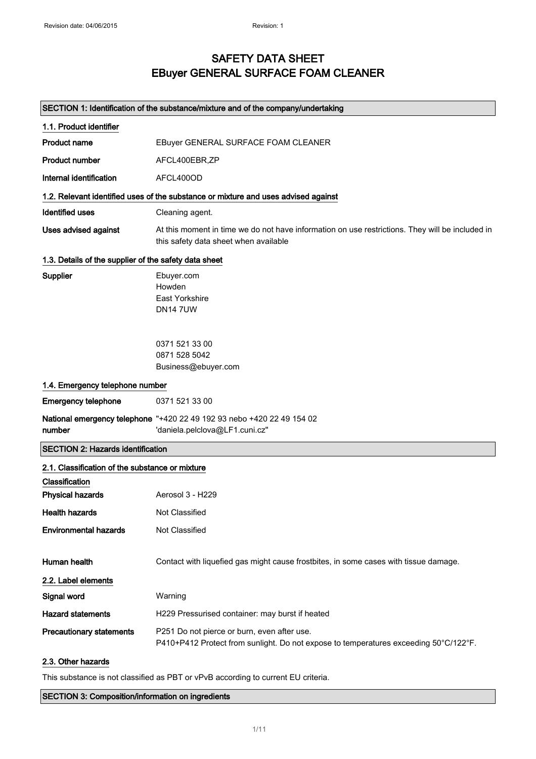## SAFETY DATA SHEET EBuyer GENERAL SURFACE FOAM CLEANER

#### SECTION 1: Identification of the substance/mixture and of the company/undertaking

| 1.1. Product identifier                               |                                                                                                                                          |  |
|-------------------------------------------------------|------------------------------------------------------------------------------------------------------------------------------------------|--|
| <b>Product name</b>                                   | EBuyer GENERAL SURFACE FOAM CLEANER                                                                                                      |  |
| <b>Product number</b>                                 | AFCL400EBR,ZP                                                                                                                            |  |
| Internal identification                               | AFCL400OD                                                                                                                                |  |
|                                                       | 1.2. Relevant identified uses of the substance or mixture and uses advised against                                                       |  |
| <b>Identified uses</b>                                | Cleaning agent.                                                                                                                          |  |
| <b>Uses advised against</b>                           | At this moment in time we do not have information on use restrictions. They will be included in<br>this safety data sheet when available |  |
| 1.3. Details of the supplier of the safety data sheet |                                                                                                                                          |  |
| <b>Supplier</b>                                       | Ebuyer.com<br>Howden<br>East Yorkshire<br><b>DN147UW</b>                                                                                 |  |
|                                                       | 0371 521 33 00<br>0871 528 5042<br>Business@ebuyer.com                                                                                   |  |
| 1.4. Emergency telephone number                       |                                                                                                                                          |  |
| <b>Emergency telephone</b>                            | 0371 521 33 00                                                                                                                           |  |
| number                                                | National emergency telephone "+420 22 49 192 93 nebo +420 22 49 154 02<br>'daniela.pelclova@LF1.cuni.cz"                                 |  |
| <b>SECTION 2: Hazards identification</b>              |                                                                                                                                          |  |
| 2.1. Classification of the substance or mixture       |                                                                                                                                          |  |
| Classification                                        |                                                                                                                                          |  |
| <b>Physical hazards</b>                               | Aerosol 3 - H229                                                                                                                         |  |
| <b>Health hazards</b>                                 | <b>Not Classified</b>                                                                                                                    |  |
| <b>Environmental hazards</b>                          | Not Classified                                                                                                                           |  |
| <b>Human health</b>                                   | Contact with liquefied gas might cause frostbites, in some cases with tissue damage.                                                     |  |
| 2.2. Label elements                                   |                                                                                                                                          |  |
| Signal word                                           | Warning                                                                                                                                  |  |
| <b>Hazard statements</b>                              | H229 Pressurised container: may burst if heated                                                                                          |  |
| <b>Precautionary statements</b>                       | P251 Do not pierce or burn, even after use.<br>P410+P412 Protect from sunlight. Do not expose to temperatures exceeding 50°C/122°F.      |  |
| 2.3. Other hazards                                    |                                                                                                                                          |  |

This substance is not classified as PBT or vPvB according to current EU criteria.

SECTION 3: Composition/information on ingredients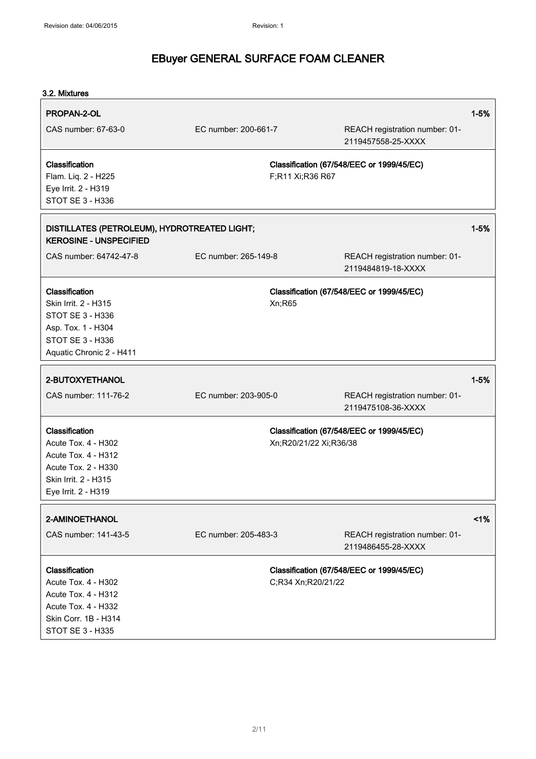| 3.2. Mixtures                                                                                                                      |                      |                        |                                                      |          |
|------------------------------------------------------------------------------------------------------------------------------------|----------------------|------------------------|------------------------------------------------------|----------|
| PROPAN-2-OL                                                                                                                        |                      |                        |                                                      | $1 - 5%$ |
| CAS number: 67-63-0                                                                                                                | EC number: 200-661-7 |                        | REACH registration number: 01-<br>2119457558-25-XXXX |          |
| <b>Classification</b><br>Flam. Liq. 2 - H225<br>Eye Irrit. 2 - H319<br><b>STOT SE 3 - H336</b>                                     |                      | F;R11 Xi;R36 R67       | Classification (67/548/EEC or 1999/45/EC)            |          |
| DISTILLATES (PETROLEUM), HYDROTREATED LIGHT;<br><b>KEROSINE - UNSPECIFIED</b>                                                      |                      |                        |                                                      | $1 - 5%$ |
| CAS number: 64742-47-8                                                                                                             | EC number: 265-149-8 |                        | REACH registration number: 01-<br>2119484819-18-XXXX |          |
| Classification<br>Skin Irrit. 2 - H315<br>STOT SE 3 - H336<br>Asp. Tox. 1 - H304<br>STOT SE 3 - H336<br>Aquatic Chronic 2 - H411   |                      | Xn;R65                 | Classification (67/548/EEC or 1999/45/EC)            |          |
| 2-BUTOXYETHANOL                                                                                                                    |                      |                        |                                                      | $1 - 5%$ |
| CAS number: 111-76-2                                                                                                               | EC number: 203-905-0 |                        | REACH registration number: 01-<br>2119475108-36-XXXX |          |
| Classification<br>Acute Tox. 4 - H302<br>Acute Tox. 4 - H312<br>Acute Tox. 2 - H330<br>Skin Irrit. 2 - H315<br>Eye Irrit. 2 - H319 |                      | Xn;R20/21/22 Xi;R36/38 | Classification (67/548/EEC or 1999/45/EC)            |          |
| 2-AMINOETHANOL                                                                                                                     |                      |                        |                                                      | 1%       |
| CAS number: 141-43-5                                                                                                               | EC number: 205-483-3 |                        | REACH registration number: 01-<br>2119486455-28-XXXX |          |
| Classification<br>Acute Tox. 4 - H302                                                                                              |                      | C;R34 Xn;R20/21/22     | Classification (67/548/EEC or 1999/45/EC)            |          |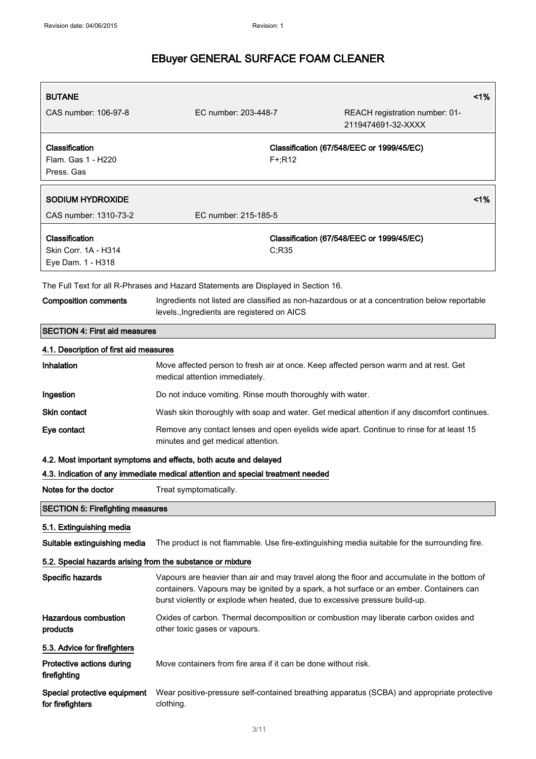| <b>BUTANE</b>                                              |                                                                                                                                                                                                                                                                        | 1%                                                                                            |  |
|------------------------------------------------------------|------------------------------------------------------------------------------------------------------------------------------------------------------------------------------------------------------------------------------------------------------------------------|-----------------------------------------------------------------------------------------------|--|
| CAS number: 106-97-8                                       | EC number: 203-448-7                                                                                                                                                                                                                                                   | REACH registration number: 01-<br>2119474691-32-XXXX                                          |  |
| Classification<br>Flam. Gas 1 - H220                       | Classification (67/548/EEC or 1999/45/EC)<br>$F + R12$                                                                                                                                                                                                                 |                                                                                               |  |
| Press, Gas                                                 |                                                                                                                                                                                                                                                                        |                                                                                               |  |
| <b>SODIUM HYDROXIDE</b>                                    |                                                                                                                                                                                                                                                                        | 1%                                                                                            |  |
| CAS number: 1310-73-2                                      | EC number: 215-185-5                                                                                                                                                                                                                                                   |                                                                                               |  |
| Classification                                             |                                                                                                                                                                                                                                                                        | Classification (67/548/EEC or 1999/45/EC)                                                     |  |
| Skin Corr. 1A - H314                                       |                                                                                                                                                                                                                                                                        | C:R35                                                                                         |  |
| Eye Dam. 1 - H318                                          |                                                                                                                                                                                                                                                                        |                                                                                               |  |
|                                                            | The Full Text for all R-Phrases and Hazard Statements are Displayed in Section 16.                                                                                                                                                                                     |                                                                                               |  |
| <b>Composition comments</b>                                | levels., Ingredients are registered on AICS                                                                                                                                                                                                                            | Ingredients not listed are classified as non-hazardous or at a concentration below reportable |  |
| <b>SECTION 4: First aid measures</b>                       |                                                                                                                                                                                                                                                                        |                                                                                               |  |
| 4.1. Description of first aid measures                     |                                                                                                                                                                                                                                                                        |                                                                                               |  |
| Inhalation                                                 | Move affected person to fresh air at once. Keep affected person warm and at rest. Get<br>medical attention immediately.                                                                                                                                                |                                                                                               |  |
| Ingestion                                                  | Do not induce vomiting. Rinse mouth thoroughly with water.                                                                                                                                                                                                             |                                                                                               |  |
| <b>Skin contact</b>                                        | Wash skin thoroughly with soap and water. Get medical attention if any discomfort continues.                                                                                                                                                                           |                                                                                               |  |
| Eye contact                                                | Remove any contact lenses and open eyelids wide apart. Continue to rinse for at least 15<br>minutes and get medical attention.                                                                                                                                         |                                                                                               |  |
|                                                            | 4.2. Most important symptoms and effects, both acute and delayed                                                                                                                                                                                                       |                                                                                               |  |
|                                                            | 4.3. Indication of any immediate medical attention and special treatment needed                                                                                                                                                                                        |                                                                                               |  |
| Notes for the doctor                                       | Treat symptomatically.                                                                                                                                                                                                                                                 |                                                                                               |  |
| <b>SECTION 5: Firefighting measures</b>                    |                                                                                                                                                                                                                                                                        |                                                                                               |  |
| 5.1. Extinguishing media                                   |                                                                                                                                                                                                                                                                        |                                                                                               |  |
| Suitable extinguishing media                               |                                                                                                                                                                                                                                                                        | The product is not flammable. Use fire-extinguishing media suitable for the surrounding fire. |  |
| 5.2. Special hazards arising from the substance or mixture |                                                                                                                                                                                                                                                                        |                                                                                               |  |
| Specific hazards                                           | Vapours are heavier than air and may travel along the floor and accumulate in the bottom of<br>containers. Vapours may be ignited by a spark, a hot surface or an ember. Containers can<br>burst violently or explode when heated, due to excessive pressure build-up. |                                                                                               |  |
| Hazardous combustion<br>products                           | other toxic gases or vapours.                                                                                                                                                                                                                                          | Oxides of carbon. Thermal decomposition or combustion may liberate carbon oxides and          |  |
| 5.3. Advice for firefighters                               |                                                                                                                                                                                                                                                                        |                                                                                               |  |
| Protective actions during<br>firefighting                  | Move containers from fire area if it can be done without risk.                                                                                                                                                                                                         |                                                                                               |  |
| Special protective equipment<br>for firefighters           | Wear positive-pressure self-contained breathing apparatus (SCBA) and appropriate protective<br>clothing.                                                                                                                                                               |                                                                                               |  |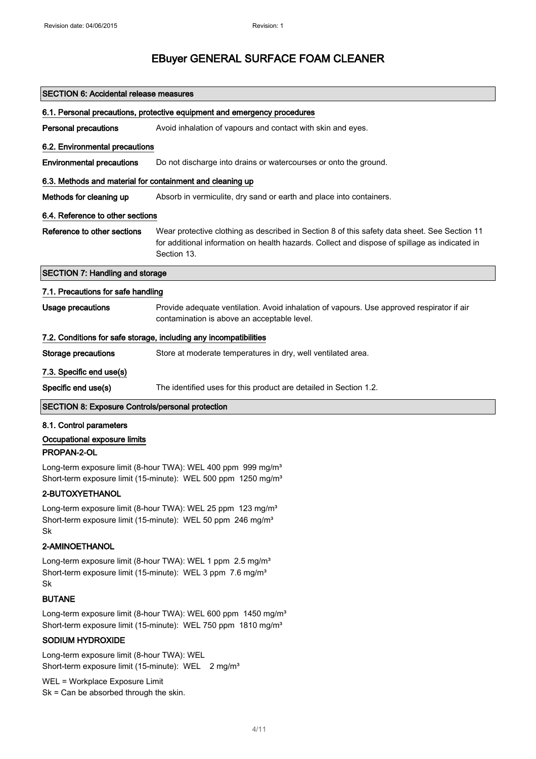| <b>SECTION 6: Accidental release measures</b>                                                                                                            |                                                                                                                                                                                                              |  |  |
|----------------------------------------------------------------------------------------------------------------------------------------------------------|--------------------------------------------------------------------------------------------------------------------------------------------------------------------------------------------------------------|--|--|
| 6.1. Personal precautions, protective equipment and emergency procedures                                                                                 |                                                                                                                                                                                                              |  |  |
| <b>Personal precautions</b>                                                                                                                              | Avoid inhalation of vapours and contact with skin and eyes.                                                                                                                                                  |  |  |
| 6.2. Environmental precautions                                                                                                                           |                                                                                                                                                                                                              |  |  |
| <b>Environmental precautions</b>                                                                                                                         | Do not discharge into drains or watercourses or onto the ground.                                                                                                                                             |  |  |
| 6.3. Methods and material for containment and cleaning up                                                                                                |                                                                                                                                                                                                              |  |  |
| Methods for cleaning up                                                                                                                                  | Absorb in vermiculite, dry sand or earth and place into containers.                                                                                                                                          |  |  |
| 6.4. Reference to other sections                                                                                                                         |                                                                                                                                                                                                              |  |  |
| Reference to other sections                                                                                                                              | Wear protective clothing as described in Section 8 of this safety data sheet. See Section 11<br>for additional information on health hazards. Collect and dispose of spillage as indicated in<br>Section 13. |  |  |
| <b>SECTION 7: Handling and storage</b>                                                                                                                   |                                                                                                                                                                                                              |  |  |
| 7.1. Precautions for safe handling                                                                                                                       |                                                                                                                                                                                                              |  |  |
| <b>Usage precautions</b>                                                                                                                                 | Provide adequate ventilation. Avoid inhalation of vapours. Use approved respirator if air<br>contamination is above an acceptable level.                                                                     |  |  |
| 7.2. Conditions for safe storage, including any incompatibilities                                                                                        |                                                                                                                                                                                                              |  |  |
| <b>Storage precautions</b>                                                                                                                               | Store at moderate temperatures in dry, well ventilated area.                                                                                                                                                 |  |  |
| 7.3. Specific end use(s)                                                                                                                                 |                                                                                                                                                                                                              |  |  |
| Specific end use(s)                                                                                                                                      | The identified uses for this product are detailed in Section 1.2.                                                                                                                                            |  |  |
| <b>SECTION 8: Exposure Controls/personal protection</b>                                                                                                  |                                                                                                                                                                                                              |  |  |
| 8.1. Control parameters                                                                                                                                  |                                                                                                                                                                                                              |  |  |
| Occupational exposure limits                                                                                                                             |                                                                                                                                                                                                              |  |  |
| PROPAN-2-OL                                                                                                                                              |                                                                                                                                                                                                              |  |  |
|                                                                                                                                                          | Long-term exposure limit (8-hour TWA): WEL 400 ppm 999 mg/m <sup>3</sup><br>Short-term exposure limit (15-minute): WEL 500 ppm 1250 mg/m <sup>3</sup>                                                        |  |  |
| 2-BUTOXYETHANOL                                                                                                                                          |                                                                                                                                                                                                              |  |  |
| Long-term exposure limit (8-hour TWA): WEL 25 ppm 123 mg/m <sup>3</sup><br>Short-term exposure limit (15-minute): WEL 50 ppm 246 mg/m <sup>3</sup><br>Sk |                                                                                                                                                                                                              |  |  |

#### 2-AMINOETHANOL

Long-term exposure limit (8-hour TWA): WEL 1 ppm 2.5 mg/m<sup>3</sup> Short-term exposure limit (15-minute): WEL 3 ppm 7.6 mg/m<sup>3</sup> Sk

#### BUTANE

Long-term exposure limit (8-hour TWA): WEL 600 ppm 1450 mg/m<sup>3</sup> Short-term exposure limit (15-minute): WEL 750 ppm 1810 mg/m<sup>3</sup>

#### SODIUM HYDROXIDE

Long-term exposure limit (8-hour TWA): WEL Short-term exposure limit (15-minute): WEL 2 mg/m<sup>3</sup>

WEL = Workplace Exposure Limit Sk = Can be absorbed through the skin.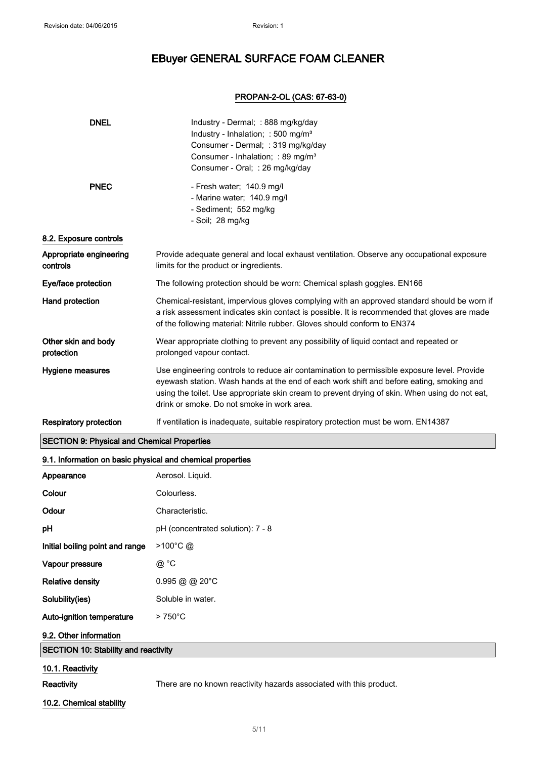#### PROPAN-2-OL (CAS: 67-63-0)

| <b>DNEL</b>                                                | Industry - Dermal; : 888 mg/kg/day<br>Industry - Inhalation; : 500 mg/m <sup>3</sup><br>Consumer - Dermal; : 319 mg/kg/day<br>Consumer - Inhalation; : 89 mg/m <sup>3</sup><br>Consumer - Oral; : 26 mg/kg/day                                                                                                                          |  |
|------------------------------------------------------------|-----------------------------------------------------------------------------------------------------------------------------------------------------------------------------------------------------------------------------------------------------------------------------------------------------------------------------------------|--|
| <b>PNEC</b>                                                | - Fresh water; 140.9 mg/l<br>- Marine water; 140.9 mg/l<br>- Sediment; 552 mg/kg<br>- Soil; 28 mg/kg                                                                                                                                                                                                                                    |  |
| 8.2. Exposure controls                                     |                                                                                                                                                                                                                                                                                                                                         |  |
| Appropriate engineering<br>controls                        | Provide adequate general and local exhaust ventilation. Observe any occupational exposure<br>limits for the product or ingredients.                                                                                                                                                                                                     |  |
| Eye/face protection                                        | The following protection should be worn: Chemical splash goggles. EN166                                                                                                                                                                                                                                                                 |  |
| Hand protection                                            | Chemical-resistant, impervious gloves complying with an approved standard should be worn if<br>a risk assessment indicates skin contact is possible. It is recommended that gloves are made<br>of the following material: Nitrile rubber. Gloves should conform to EN374                                                                |  |
| Other skin and body<br>protection                          | Wear appropriate clothing to prevent any possibility of liquid contact and repeated or<br>prolonged vapour contact.                                                                                                                                                                                                                     |  |
| Hygiene measures                                           | Use engineering controls to reduce air contamination to permissible exposure level. Provide<br>eyewash station. Wash hands at the end of each work shift and before eating, smoking and<br>using the toilet. Use appropriate skin cream to prevent drying of skin. When using do not eat,<br>drink or smoke. Do not smoke in work area. |  |
| <b>Respiratory protection</b>                              | If ventilation is inadequate, suitable respiratory protection must be worn. EN14387                                                                                                                                                                                                                                                     |  |
| <b>SECTION 9: Physical and Chemical Properties</b>         |                                                                                                                                                                                                                                                                                                                                         |  |
| 9.1. Information on basic physical and chemical properties |                                                                                                                                                                                                                                                                                                                                         |  |
| Appearance                                                 | Aerosol. Liquid.                                                                                                                                                                                                                                                                                                                        |  |
| Colour                                                     | Colourless.                                                                                                                                                                                                                                                                                                                             |  |
| Odour                                                      | Characteristic.                                                                                                                                                                                                                                                                                                                         |  |
| рH                                                         | pH (concentrated solution): 7 - 8                                                                                                                                                                                                                                                                                                       |  |
| Initial boiling point and range                            | $>100^{\circ}$ C @                                                                                                                                                                                                                                                                                                                      |  |
| Vapour pressure                                            | @ °C                                                                                                                                                                                                                                                                                                                                    |  |
| <b>Relative density</b>                                    | $0.995 @ @ 20^{\circ}$ C                                                                                                                                                                                                                                                                                                                |  |
| Solubility(ies)                                            | Soluble in water.                                                                                                                                                                                                                                                                                                                       |  |
| Auto-ignition temperature                                  | $>750^{\circ}$ C                                                                                                                                                                                                                                                                                                                        |  |
| 9.2. Other information                                     |                                                                                                                                                                                                                                                                                                                                         |  |
| <b>SECTION 10: Stability and reactivity</b>                |                                                                                                                                                                                                                                                                                                                                         |  |
| 10.1. Reactivity                                           |                                                                                                                                                                                                                                                                                                                                         |  |
| Reactivity                                                 | There are no known reactivity hazards associated with this product.                                                                                                                                                                                                                                                                     |  |

### 10.2. Chemical stability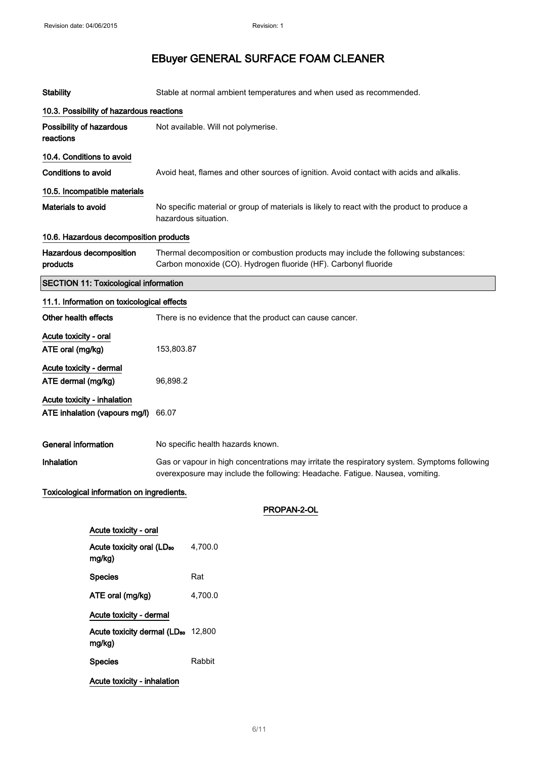| <b>Stability</b>                                                      |                                                                                                                                                                              |                                                                                                                                                       | Stable at normal ambient temperatures and when used as recommended.                                                 |  |
|-----------------------------------------------------------------------|------------------------------------------------------------------------------------------------------------------------------------------------------------------------------|-------------------------------------------------------------------------------------------------------------------------------------------------------|---------------------------------------------------------------------------------------------------------------------|--|
|                                                                       | 10.3. Possibility of hazardous reactions                                                                                                                                     |                                                                                                                                                       |                                                                                                                     |  |
| Possibility of hazardous<br>reactions                                 |                                                                                                                                                                              |                                                                                                                                                       | Not available. Will not polymerise.                                                                                 |  |
|                                                                       | 10.4. Conditions to avoid                                                                                                                                                    |                                                                                                                                                       |                                                                                                                     |  |
| <b>Conditions to avoid</b>                                            |                                                                                                                                                                              |                                                                                                                                                       | Avoid heat, flames and other sources of ignition. Avoid contact with acids and alkalis.                             |  |
|                                                                       | 10.5. Incompatible materials                                                                                                                                                 |                                                                                                                                                       |                                                                                                                     |  |
| Materials to avoid                                                    |                                                                                                                                                                              |                                                                                                                                                       | No specific material or group of materials is likely to react with the product to produce a<br>hazardous situation. |  |
|                                                                       | 10.6. Hazardous decomposition products                                                                                                                                       |                                                                                                                                                       |                                                                                                                     |  |
| products                                                              | Hazardous decomposition                                                                                                                                                      | Thermal decomposition or combustion products may include the following substances:<br>Carbon monoxide (CO). Hydrogen fluoride (HF). Carbonyl fluoride |                                                                                                                     |  |
|                                                                       | <b>SECTION 11: Toxicological information</b>                                                                                                                                 |                                                                                                                                                       |                                                                                                                     |  |
| 11.1. Information on toxicological effects                            |                                                                                                                                                                              |                                                                                                                                                       |                                                                                                                     |  |
| Other health effects                                                  |                                                                                                                                                                              |                                                                                                                                                       | There is no evidence that the product can cause cancer.                                                             |  |
|                                                                       | Acute toxicity - oral<br>ATE oral (mg/kg)<br>153,803.87                                                                                                                      |                                                                                                                                                       |                                                                                                                     |  |
| Acute toxicity - dermal                                               |                                                                                                                                                                              |                                                                                                                                                       |                                                                                                                     |  |
| ATE dermal (mg/kg)                                                    |                                                                                                                                                                              | 96,898.2                                                                                                                                              |                                                                                                                     |  |
| Acute toxicity - inhalation<br>ATE inhalation (vapours mg/l)<br>66.07 |                                                                                                                                                                              |                                                                                                                                                       |                                                                                                                     |  |
| <b>General information</b>                                            |                                                                                                                                                                              |                                                                                                                                                       | No specific health hazards known.                                                                                   |  |
| Inhalation                                                            | Gas or vapour in high concentrations may irritate the respiratory system. Symptoms following<br>overexposure may include the following: Headache. Fatigue. Nausea, vomiting. |                                                                                                                                                       |                                                                                                                     |  |
| Toxicological information on ingredients.                             |                                                                                                                                                                              |                                                                                                                                                       |                                                                                                                     |  |
|                                                                       |                                                                                                                                                                              |                                                                                                                                                       | PROPAN-2-OL                                                                                                         |  |
| Acute toxicity - oral                                                 |                                                                                                                                                                              |                                                                                                                                                       |                                                                                                                     |  |
|                                                                       | Acute toxicity oral (LD <sub>50</sub><br>mg/kg)                                                                                                                              |                                                                                                                                                       | 4,700.0                                                                                                             |  |
|                                                                       | <b>Species</b>                                                                                                                                                               |                                                                                                                                                       | Rat                                                                                                                 |  |
|                                                                       | ATE oral (mg/kg)                                                                                                                                                             |                                                                                                                                                       | 4,700.0                                                                                                             |  |
|                                                                       | Acute toxicity - dermal                                                                                                                                                      |                                                                                                                                                       |                                                                                                                     |  |
|                                                                       | Acute toxicity dermal (LD <sub>50</sub> 12,800<br>mg/kg)                                                                                                                     |                                                                                                                                                       |                                                                                                                     |  |
|                                                                       | <b>Species</b>                                                                                                                                                               |                                                                                                                                                       | Rabbit                                                                                                              |  |

Acute toxicity - inhalation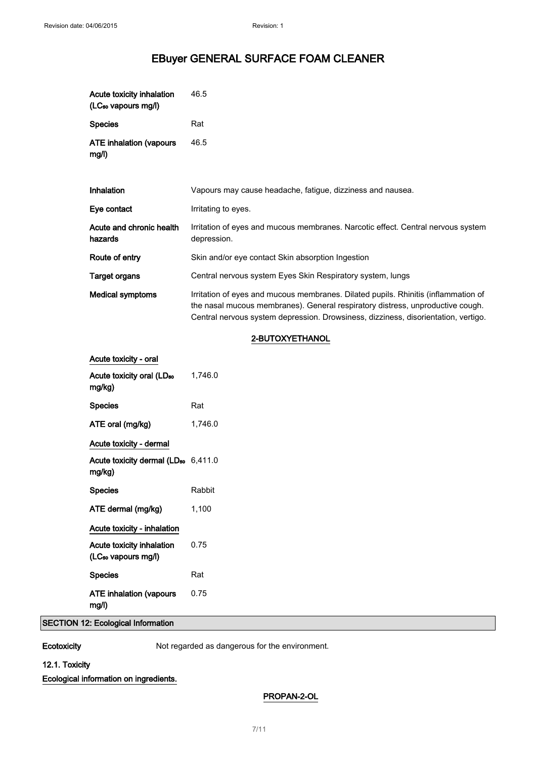| Acute toxicity inhalation<br>(LC <sub>50</sub> vapours mg/l) | 46.5                                                                                                                                                                                                                                                       |
|--------------------------------------------------------------|------------------------------------------------------------------------------------------------------------------------------------------------------------------------------------------------------------------------------------------------------------|
| <b>Species</b>                                               | Rat                                                                                                                                                                                                                                                        |
| ATE inhalation (vapours<br>mg/l)                             | 46.5                                                                                                                                                                                                                                                       |
|                                                              |                                                                                                                                                                                                                                                            |
| <b>Inhalation</b>                                            | Vapours may cause headache, fatigue, dizziness and nausea.                                                                                                                                                                                                 |
| Eye contact                                                  | Irritating to eyes.                                                                                                                                                                                                                                        |
| Acute and chronic health<br>hazards                          | Irritation of eyes and mucous membranes. Narcotic effect. Central nervous system<br>depression.                                                                                                                                                            |
| Route of entry                                               | Skin and/or eye contact Skin absorption Ingestion                                                                                                                                                                                                          |
| Target organs                                                | Central nervous system Eyes Skin Respiratory system, lungs                                                                                                                                                                                                 |
| <b>Medical symptoms</b>                                      | Irritation of eyes and mucous membranes. Dilated pupils. Rhinitis (inflammation of<br>the nasal mucous membranes). General respiratory distress, unproductive cough.<br>Central nervous system depression. Drowsiness, dizziness, disorientation, vertigo. |
|                                                              |                                                                                                                                                                                                                                                            |

#### 2-BUTOXYETHANOL

| Acute toxicity - oral                                               |         |
|---------------------------------------------------------------------|---------|
| Acute toxicity oral (LD <sub>50</sub><br>mg/kg)                     | 1,746.0 |
| <b>Species</b>                                                      | Rat     |
| ATE oral (mg/kg)                                                    | 1.746.0 |
| Acute toxicity - dermal                                             |         |
| Acute toxicity dermal ( $LD_{50}$ 6,411.0<br>mg/kg)                 |         |
|                                                                     |         |
| <b>Species</b>                                                      | Rabbit  |
| ATE dermal (mg/kg)                                                  | 1,100   |
| Acute toxicity - inhalation                                         |         |
| <b>Acute toxicity inhalation</b><br>(LC <sub>so</sub> vapours mg/l) | 0.75    |
| <b>Species</b>                                                      | Rat     |

#### SECTION 12: Ecological Information

Ecotoxicity Not regarded as dangerous for the environment.

#### 12.1. Toxicity

Ecological information on ingredients.

#### PROPAN-2-OL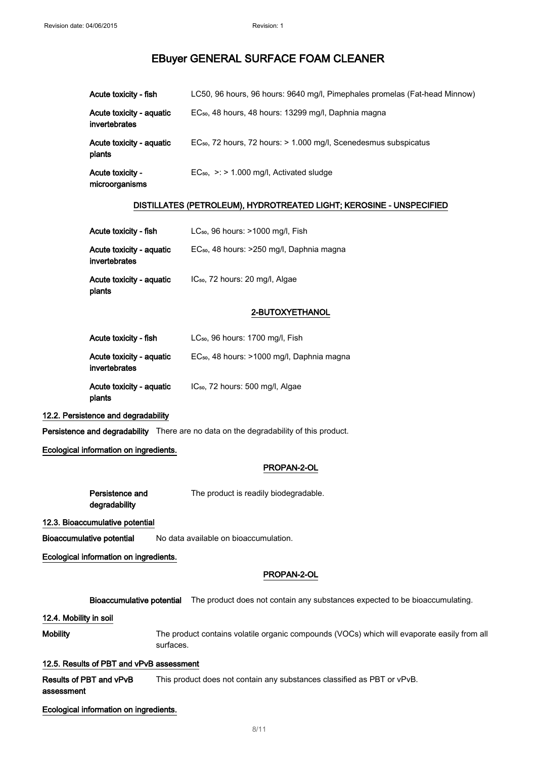| Acute toxicity - fish                     | LC50, 96 hours, 96 hours: 9640 mg/l, Pimephales promelas (Fat-head Minnow)   |
|-------------------------------------------|------------------------------------------------------------------------------|
| Acute toxicity - aquatic<br>invertebrates | EC <sub>50</sub> , 48 hours, 48 hours: 13299 mg/l, Daphnia magna             |
| Acute toxicity - aquatic<br>plants        | EC <sub>50</sub> , 72 hours, 72 hours: > 1.000 mg/l, Scenedesmus subspicatus |
| Acute toxicity -<br>microorganisms        | $EC_{50}$ , $\geq$ > 1.000 mg/l, Activated sludge                            |

#### DISTILLATES (PETROLEUM), HYDROTREATED LIGHT; KEROSINE - UNSPECIFIED

| Acute toxicity - fish                     | $LC_{50}$ , 96 hours: $>1000$ mg/l, Fish              |
|-------------------------------------------|-------------------------------------------------------|
| Acute toxicity - aquatic<br>invertebrates | EC <sub>50</sub> , 48 hours: >250 mg/l, Daphnia magna |
| Acute toxicity - aquatic<br>plants        | IC <sub>50</sub> , 72 hours: 20 mg/l, Algae           |

#### 2-BUTOXYETHANOL

| Acute toxicity - fish                     | LC <sub>50</sub> , 96 hours: 1700 mg/l, Fish           |
|-------------------------------------------|--------------------------------------------------------|
| Acute toxicity - aquatic<br>invertebrates | EC <sub>50</sub> , 48 hours: >1000 mg/l, Daphnia magna |
| Acute toxicity - aquatic<br>plants        | IC <sub>50</sub> , 72 hours: 500 mg/l, Algae           |

#### 12.2. Persistence and degradability

Persistence and degradability There are no data on the degradability of this product.

#### Ecological information on ingredients.

#### PROPAN-2-OL

| Persistence and | The product is readily biodegradable. |
|-----------------|---------------------------------------|
| degradability   |                                       |

12.3. Bioaccumulative potential

Bioaccumulative potential No data available on bioaccumulation.

Ecological information on ingredients.

#### PROPAN-2-OL

Bioaccumulative potential The product does not contain any substances expected to be bioaccumulating.

12.4. Mobility in soil

Mobility The product contains volatile organic compounds (VOCs) which will evaporate easily from all surfaces.

#### 12.5. Results of PBT and vPvB assessment

Results of PBT and vPvB assessment This product does not contain any substances classified as PBT or vPvB.

Ecological information on ingredients.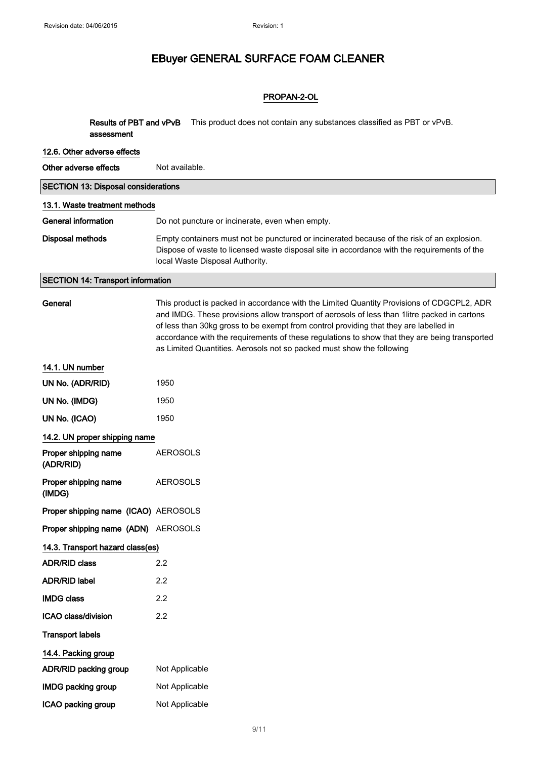#### PROPAN-2-OL

Results of PBT and vPvB This product does not contain any substances classified as PBT or vPvB. assessment

| 12.6. Other adverse effects                |                                                                                                                                                                                                                                                                                                                                                                                                                                                              |  |  |
|--------------------------------------------|--------------------------------------------------------------------------------------------------------------------------------------------------------------------------------------------------------------------------------------------------------------------------------------------------------------------------------------------------------------------------------------------------------------------------------------------------------------|--|--|
| Other adverse effects                      | Not available.                                                                                                                                                                                                                                                                                                                                                                                                                                               |  |  |
| <b>SECTION 13: Disposal considerations</b> |                                                                                                                                                                                                                                                                                                                                                                                                                                                              |  |  |
| 13.1. Waste treatment methods              |                                                                                                                                                                                                                                                                                                                                                                                                                                                              |  |  |
| <b>General information</b>                 | Do not puncture or incinerate, even when empty.                                                                                                                                                                                                                                                                                                                                                                                                              |  |  |
| <b>Disposal methods</b>                    | Empty containers must not be punctured or incinerated because of the risk of an explosion.<br>Dispose of waste to licensed waste disposal site in accordance with the requirements of the<br>local Waste Disposal Authority.                                                                                                                                                                                                                                 |  |  |
| <b>SECTION 14: Transport information</b>   |                                                                                                                                                                                                                                                                                                                                                                                                                                                              |  |  |
| General                                    | This product is packed in accordance with the Limited Quantity Provisions of CDGCPL2, ADR<br>and IMDG. These provisions allow transport of aerosols of less than 1litre packed in cartons<br>of less than 30kg gross to be exempt from control providing that they are labelled in<br>accordance with the requirements of these regulations to show that they are being transported<br>as Limited Quantities. Aerosols not so packed must show the following |  |  |
| 14.1. UN number                            |                                                                                                                                                                                                                                                                                                                                                                                                                                                              |  |  |
| UN No. (ADR/RID)                           | 1950                                                                                                                                                                                                                                                                                                                                                                                                                                                         |  |  |
| UN No. (IMDG)                              | 1950                                                                                                                                                                                                                                                                                                                                                                                                                                                         |  |  |
| UN No. (ICAO)                              | 1950                                                                                                                                                                                                                                                                                                                                                                                                                                                         |  |  |
| 14.2. UN proper shipping name              |                                                                                                                                                                                                                                                                                                                                                                                                                                                              |  |  |
| Proper shipping name<br>(ADR/RID)          | <b>AEROSOLS</b>                                                                                                                                                                                                                                                                                                                                                                                                                                              |  |  |
| Proper shipping name<br>(IMDG)             | <b>AEROSOLS</b>                                                                                                                                                                                                                                                                                                                                                                                                                                              |  |  |
| Proper shipping name (ICAO) AEROSOLS       |                                                                                                                                                                                                                                                                                                                                                                                                                                                              |  |  |
| Proper shipping name (ADN) AEROSOLS        |                                                                                                                                                                                                                                                                                                                                                                                                                                                              |  |  |
| 14.3. Transport hazard class(es)           |                                                                                                                                                                                                                                                                                                                                                                                                                                                              |  |  |
| <b>ADR/RID class</b>                       | 2.2                                                                                                                                                                                                                                                                                                                                                                                                                                                          |  |  |
| <b>ADR/RID label</b>                       | 2.2                                                                                                                                                                                                                                                                                                                                                                                                                                                          |  |  |
| <b>IMDG class</b>                          | 2.2                                                                                                                                                                                                                                                                                                                                                                                                                                                          |  |  |
| ICAO class/division                        | 2.2                                                                                                                                                                                                                                                                                                                                                                                                                                                          |  |  |
| <b>Transport labels</b>                    |                                                                                                                                                                                                                                                                                                                                                                                                                                                              |  |  |
| 14.4. Packing group                        |                                                                                                                                                                                                                                                                                                                                                                                                                                                              |  |  |
| ADR/RID packing group                      | Not Applicable                                                                                                                                                                                                                                                                                                                                                                                                                                               |  |  |
| <b>IMDG packing group</b>                  | Not Applicable                                                                                                                                                                                                                                                                                                                                                                                                                                               |  |  |
| ICAO packing group                         | Not Applicable                                                                                                                                                                                                                                                                                                                                                                                                                                               |  |  |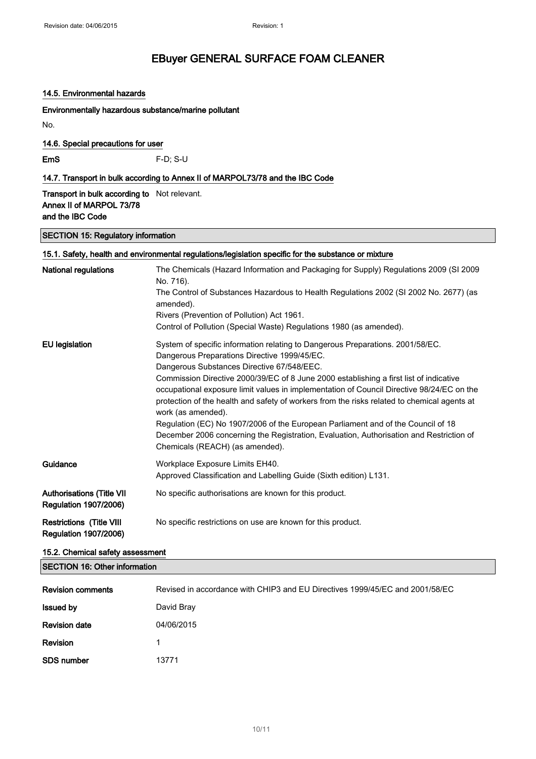#### 14.5. Environmental hazards

Environmentally hazardous substance/marine pollutant

No.

14.6. Special precautions for user

EmS F-D; S-U

14.7. Transport in bulk according to Annex II of MARPOL73/78 and the IBC Code

**Transport in bulk according to** Not relevant. Annex II of MARPOL 73/78 and the IBC Code

SECTION 15: Regulatory information

| 15.1. Safety, health and environmental regulations/legislation specific for the substance or mixture |                                                                                                                                                                                                                                                                                                                                                                                                                                                                                                                                                                                                                                                                                                            |  |
|------------------------------------------------------------------------------------------------------|------------------------------------------------------------------------------------------------------------------------------------------------------------------------------------------------------------------------------------------------------------------------------------------------------------------------------------------------------------------------------------------------------------------------------------------------------------------------------------------------------------------------------------------------------------------------------------------------------------------------------------------------------------------------------------------------------------|--|
| National regulations                                                                                 | The Chemicals (Hazard Information and Packaging for Supply) Regulations 2009 (SI 2009<br>No. 716).<br>The Control of Substances Hazardous to Health Regulations 2002 (SI 2002 No. 2677) (as                                                                                                                                                                                                                                                                                                                                                                                                                                                                                                                |  |
|                                                                                                      | amended).                                                                                                                                                                                                                                                                                                                                                                                                                                                                                                                                                                                                                                                                                                  |  |
|                                                                                                      | Rivers (Prevention of Pollution) Act 1961.                                                                                                                                                                                                                                                                                                                                                                                                                                                                                                                                                                                                                                                                 |  |
|                                                                                                      | Control of Pollution (Special Waste) Regulations 1980 (as amended).                                                                                                                                                                                                                                                                                                                                                                                                                                                                                                                                                                                                                                        |  |
| <b>EU</b> legislation                                                                                | System of specific information relating to Dangerous Preparations. 2001/58/EC.<br>Dangerous Preparations Directive 1999/45/EC.<br>Dangerous Substances Directive 67/548/EEC.<br>Commission Directive 2000/39/EC of 8 June 2000 establishing a first list of indicative<br>occupational exposure limit values in implementation of Council Directive 98/24/EC on the<br>protection of the health and safety of workers from the risks related to chemical agents at<br>work (as amended).<br>Regulation (EC) No 1907/2006 of the European Parliament and of the Council of 18<br>December 2006 concerning the Registration, Evaluation, Authorisation and Restriction of<br>Chemicals (REACH) (as amended). |  |
| Guidance                                                                                             | Workplace Exposure Limits EH40.                                                                                                                                                                                                                                                                                                                                                                                                                                                                                                                                                                                                                                                                            |  |
|                                                                                                      | Approved Classification and Labelling Guide (Sixth edition) L131.                                                                                                                                                                                                                                                                                                                                                                                                                                                                                                                                                                                                                                          |  |
| <b>Authorisations (Title VII</b><br><b>Regulation 1907/2006)</b>                                     | No specific authorisations are known for this product.                                                                                                                                                                                                                                                                                                                                                                                                                                                                                                                                                                                                                                                     |  |
| <b>Restrictions (Title VIII</b><br><b>Regulation 1907/2006)</b>                                      | No specific restrictions on use are known for this product.                                                                                                                                                                                                                                                                                                                                                                                                                                                                                                                                                                                                                                                |  |

#### 15.2. Chemical safety assessment

SECTION 16: Other information

| <b>Revision comments</b> | Revised in accordance with CHIP3 and EU Directives 1999/45/EC and 2001/58/EC |
|--------------------------|------------------------------------------------------------------------------|
| <b>Issued by</b>         | David Bray                                                                   |
| <b>Revision date</b>     | 04/06/2015                                                                   |
| Revision                 | 1                                                                            |
| SDS number               | 13771                                                                        |